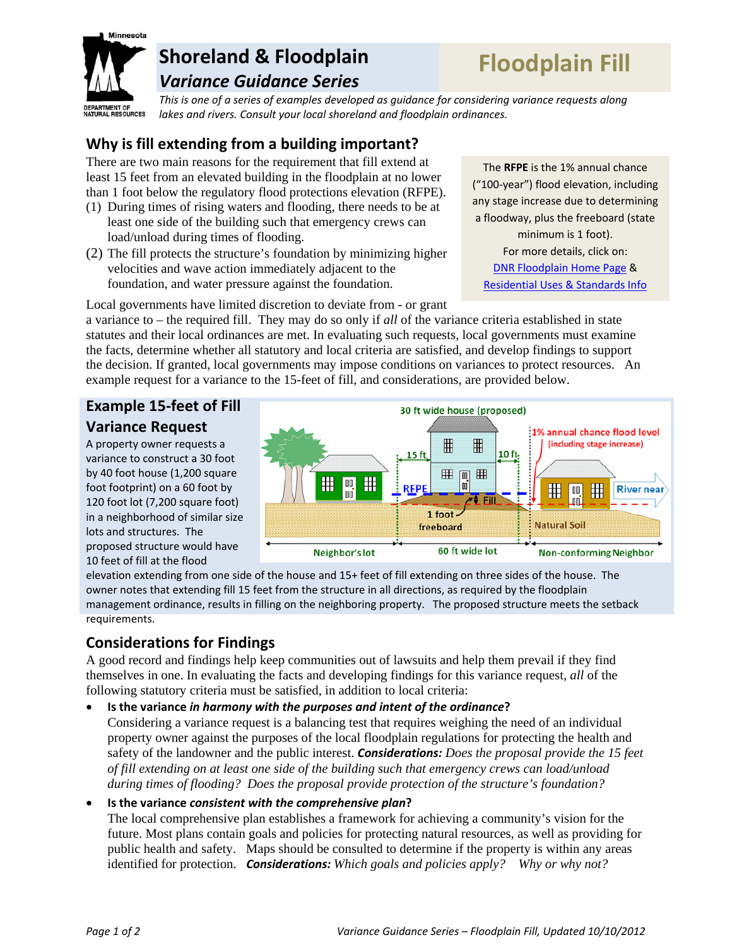

## **Shoreland & Floodplain**  *Variance Guidance Series*

# **Floodplain Fill**

*This is one of a series of examples developed as guidance for considering variance requests along lakes and rivers. Consult your local shoreland and floodplain ordinances.*

## **Why is fill extending from a building important?**

There are two main reasons for the requirement that fill extend at least 15 feet from an elevated building in the floodplain at no lower than 1 foot below the regulatory flood protections elevation (RFPE).

- (1) During times of rising waters and flooding, there needs to be at least one side of the building such that emergency crews can load/unload during times of flooding.
- (2) The fill protects the structure's foundation by minimizing higher velocities and wave action immediately adjacent to the foundation, and water pressure against the foundation.

The **RFPE** is the 1% annual chance ("100‐year") flood elevation, including any stage increase due to determining a floodway, plus the freeboard (state minimum is 1 foot). For more details, click on: DNR Floodplain Home Page & Residential Uses & Standards Info

Local governments have limited discretion to deviate from - or grant

a variance to – the required fill. They may do so only if *all* of the variance criteria established in state statutes and their local ordinances are met. In evaluating such requests, local governments must examine the facts, determine whether all statutory and local criteria are satisfied, and develop findings to support the decision. If granted, local governments may impose conditions on variances to protect resources. An example request for a variance to the 15-feet of fill, and considerations, are provided below.

## **Example 15‐feet of Fill Variance Request**

A property owner requests a variance to construct a 30 foot by 40 foot house (1,200 square foot footprint) on a 60 foot by 120 foot lot (7,200 square foot) in a neighborhood of similar size lots and structures. The proposed structure would have 10 feet of fill at the flood



elevation extending from one side of the house and 15+ feet of fill extending on three sides of the house. The owner notes that extending fill 15 feet from the structure in all directions, as required by the floodplain management ordinance, results in filling on the neighboring property. The proposed structure meets the setback requirements.

## **Considerations for Findings**

A good record and findings help keep communities out of lawsuits and help them prevail if they find themselves in one. In evaluating the facts and developing findings for this variance request, *all* of the following statutory criteria must be satisfied, in addition to local criteria:

#### **Is the variance** *in harmony with the purposes and intent of the ordinance***?**

Considering a variance request is a balancing test that requires weighing the need of an individual property owner against the purposes of the local floodplain regulations for protecting the health and safety of the landowner and the public interest. *Considerations: Does the proposal provide the 15 feet of fill extending on at least one side of the building such that emergency crews can load/unload during times of flooding? Does the proposal provide protection of the structure's foundation?*

#### **Is the variance** *consistent with the comprehensive plan***?**

The local comprehensive plan establishes a framework for achieving a community's vision for the future. Most plans contain goals and policies for protecting natural resources, as well as providing for public health and safety. Maps should be consulted to determine if the property is within any areas identified for protection. *Considerations: Which goals and policies apply? Why or why not?*